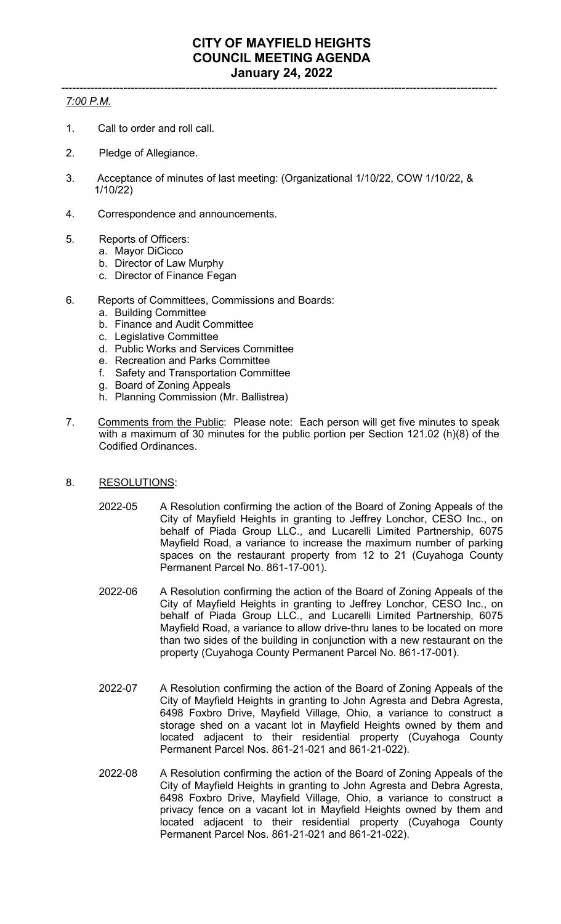## ----------------------------------------------------------------------------------------------------------------------- *7:00 P.M.*

- 1. Call to order and roll call.
- 2. Pledge of Allegiance.
- 3. Acceptance of minutes of last meeting: (Organizational 1/10/22, COW 1/10/22, & 1/10/22)
- 4. Correspondence and announcements.
- 5. Reports of Officers:
	- a. Mayor DiCicco
	- b. Director of Law Murphy
	- c. Director of Finance Fegan
- 6. Reports of Committees, Commissions and Boards:
	- a. Building Committee
	- b. Finance and Audit Committee
	- c. Legislative Committee
	- d. Public Works and Services Committee
	- e. Recreation and Parks Committee
	- f. Safety and Transportation Committee
	- g. Board of Zoning Appeals
	- h. Planning Commission (Mr. Ballistrea)
- 7. Comments from the Public: Please note: Each person will get five minutes to speak with a maximum of 30 minutes for the public portion per Section 121.02 (h)(8) of the Codified Ordinances.
- 8. RESOLUTIONS:
	- 2022-05 A Resolution confirming the action of the Board of Zoning Appeals of the City of Mayfield Heights in granting to Jeffrey Lonchor, CESO Inc., on behalf of Piada Group LLC., and Lucarelli Limited Partnership, 6075 Mayfield Road, a variance to increase the maximum number of parking spaces on the restaurant property from 12 to 21 (Cuyahoga County Permanent Parcel No. 861-17-001).
	- 2022-06 A Resolution confirming the action of the Board of Zoning Appeals of the City of Mayfield Heights in granting to Jeffrey Lonchor, CESO Inc., on behalf of Piada Group LLC., and Lucarelli Limited Partnership, 6075 Mayfield Road, a variance to allow drive-thru lanes to be located on more than two sides of the building in conjunction with a new restaurant on the property (Cuyahoga County Permanent Parcel No. 861-17-001).
	- 2022-07 A Resolution confirming the action of the Board of Zoning Appeals of the City of Mayfield Heights in granting to John Agresta and Debra Agresta, 6498 Foxbro Drive, Mayfield Village, Ohio, a variance to construct a storage shed on a vacant lot in Mayfield Heights owned by them and located adjacent to their residential property (Cuyahoga County Permanent Parcel Nos. 861-21-021 and 861-21-022).
	- 2022-08 A Resolution confirming the action of the Board of Zoning Appeals of the City of Mayfield Heights in granting to John Agresta and Debra Agresta, 6498 Foxbro Drive, Mayfield Village, Ohio, a variance to construct a privacy fence on a vacant lot in Mayfield Heights owned by them and located adjacent to their residential property (Cuyahoga County Permanent Parcel Nos. 861-21-021 and 861-21-022).